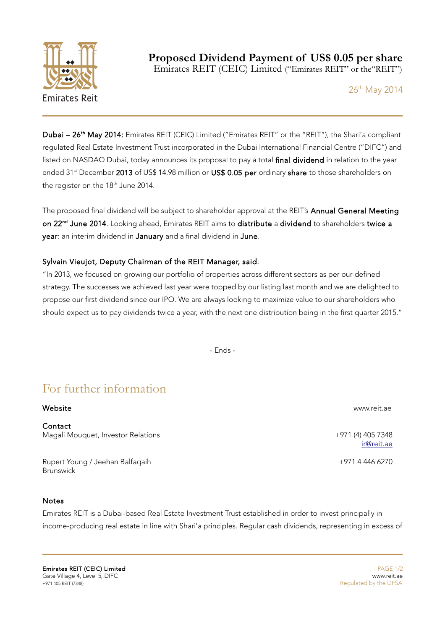

Emirates REIT (CEIC) Limited ("Emirates REIT" or the"REIT")

26<sup>th</sup> May 2014

Dubai - 26<sup>th</sup> May 2014: Emirates REIT (CEIC) Limited ("Emirates REIT" or the "REIT"), the Shari'a compliant regulated Real Estate Investment Trust incorporated in the Dubai International Financial Centre ("DIFC") and listed on NASDAQ Dubai, today announces its proposal to pay a total final dividend in relation to the year ended 31<sup>st</sup> December 2013 of US\$ 14.98 million or US\$ 0.05 per ordinary share to those shareholders on the register on the 18<sup>th</sup> June 2014.

The proposed final dividend will be subject to shareholder approval at the REIT's Annual General Meeting on 22<sup>nd</sup> June 2014. Looking ahead, Emirates REIT aims to distribute a dividend to shareholders twice a year: an interim dividend in January and a final dividend in June.

## Sylvain Vieujot, Deputy Chairman of the REIT Manager, said:

"In 2013, we focused on growing our portfolio of properties across different sectors as per our defined strategy. The successes we achieved last year were topped by our listing last month and we are delighted to propose our first dividend since our IPO. We are always looking to maximize value to our shareholders who should expect us to pay dividends twice a year, with the next one distribution being in the first quarter 2015."

- Ends -

## For further information

## Website www.reit.ae

**Contact** Magali Mouquet, Investor Relations +971 (4) 405 7348

Rupert Young / Jeehan Balfaqaih +971 4 446 6270 **Brunswick** 

## **Notes**

Emirates REIT is a Dubai-based Real Estate Investment Trust established in order to invest principally in income-producing real estate in line with Shari'a principles. Regular cash dividends, representing in excess of

**Emirates REIT (CEIC) Limited Case of the CEO and CEO and CEO and CEO and CEO and CEO and CEO and CEO and CEO and CEO and CEO and CEO and CEO and CEO and CEO and CEO and CEO and CEO and CEO and CEO and CEO and CEO and CEO** Gate Village 4, Level 5, DIFC www.reit.ae<br>According to the DFSA www.reit.ae www.reit.ae www.reit.ae www.reit.ae www.reit.ae www.reit.ae www.reit.ae www.<br>Requlated by the DFSA

[ir@reit.ae](mailto:ir@reit.ae)

Regulated by the DFSA